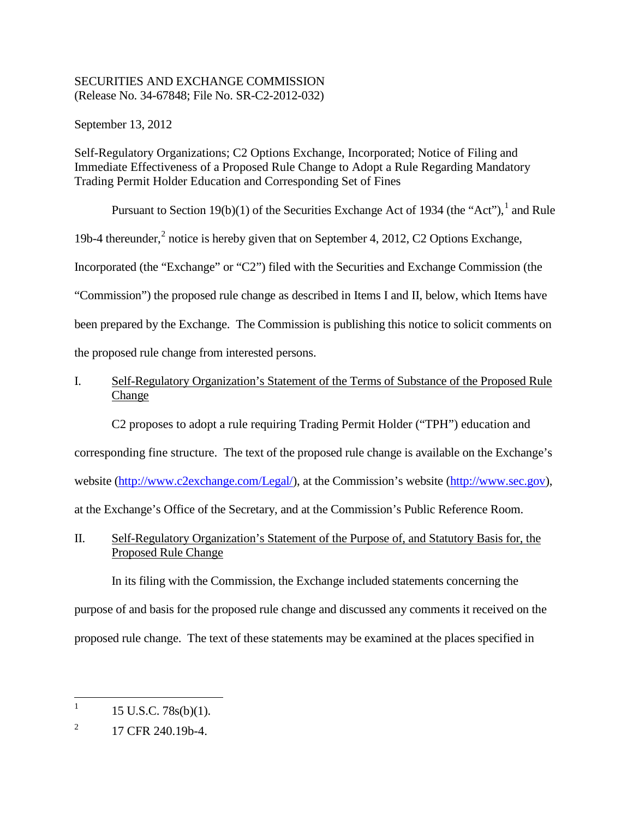# SECURITIES AND EXCHANGE COMMISSION (Release No. 34-67848; File No. SR-C2-2012-032)

September 13, 2012

Self-Regulatory Organizations; C2 Options Exchange, Incorporated; Notice of Filing and Immediate Effectiveness of a Proposed Rule Change to Adopt a Rule Regarding Mandatory Trading Permit Holder Education and Corresponding Set of Fines

Pursuant to Section [1](#page-0-0)9(b)(1) of the Securities Exchange Act of 1934 (the "Act"),  $\frac{1}{1}$  and Rule 19b-4 thereunder,<sup>[2](#page-0-1)</sup> notice is hereby given that on September 4, 2012, C2 Options Exchange, Incorporated (the "Exchange" or "C2") filed with the Securities and Exchange Commission (the "Commission") the proposed rule change as described in Items I and II, below, which Items have been prepared by the Exchange. The Commission is publishing this notice to solicit comments on the proposed rule change from interested persons.

# I. Self-Regulatory Organization's Statement of the Terms of Substance of the Proposed Rule Change

C2 proposes to adopt a rule requiring Trading Permit Holder ("TPH") education and corresponding fine structure. The text of the proposed rule change is available on the Exchange's website [\(http://www.c2exchange.com/Legal/\)](http://www.c2exchange.com/Legal/), at the Commission's website [\(http://www.sec.gov\)](http://www.sec.gov/), at the Exchange's Office of the Secretary, and at the Commission's Public Reference Room.

# II. Self-Regulatory Organization's Statement of the Purpose of, and Statutory Basis for, the Proposed Rule Change

In its filing with the Commission, the Exchange included statements concerning the purpose of and basis for the proposed rule change and discussed any comments it received on the proposed rule change. The text of these statements may be examined at the places specified in

<span id="page-0-0"></span><sup>&</sup>lt;sup>1</sup> 15 U.S.C. 78s(b)(1).

<span id="page-0-1"></span> $^{2}$  17 CFR 240.19b-4.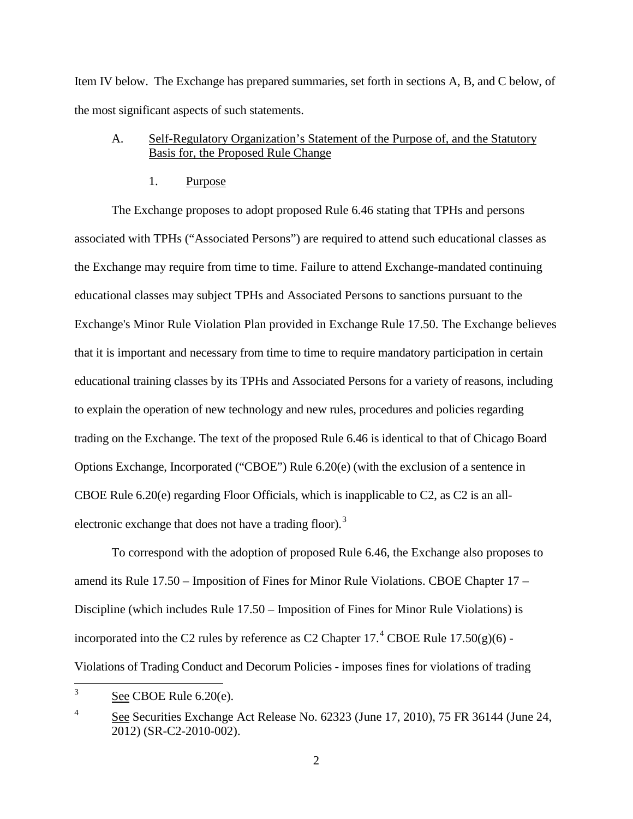Item IV below. The Exchange has prepared summaries, set forth in sections A, B, and C below, of the most significant aspects of such statements.

## A. Self-Regulatory Organization's Statement of the Purpose of, and the Statutory Basis for, the Proposed Rule Change

### 1. Purpose

The Exchange proposes to adopt proposed Rule 6.46 stating that TPHs and persons associated with TPHs ("Associated Persons") are required to attend such educational classes as the Exchange may require from time to time. Failure to attend Exchange-mandated continuing educational classes may subject TPHs and Associated Persons to sanctions pursuant to the Exchange's Minor Rule Violation Plan provided in Exchange Rule 17.50. The Exchange believes that it is important and necessary from time to time to require mandatory participation in certain educational training classes by its TPHs and Associated Persons for a variety of reasons, including to explain the operation of new technology and new rules, procedures and policies regarding trading on the Exchange. The text of the proposed Rule 6.46 is identical to that of Chicago Board Options Exchange, Incorporated ("CBOE") Rule 6.20(e) (with the exclusion of a sentence in CBOE Rule 6.20(e) regarding Floor Officials, which is inapplicable to C2, as C2 is an all-electronic exchange that does not have a trading floor).<sup>[3](#page-1-0)</sup>

To correspond with the adoption of proposed Rule 6.46, the Exchange also proposes to amend its Rule 17.50 – Imposition of Fines for Minor Rule Violations. CBOE Chapter 17 – Discipline (which includes Rule 17.50 – Imposition of Fines for Minor Rule Violations) is incorporated into the C2 rules by reference as C2 Chapter  $17.^4$  $17.^4$  CBOE Rule  $17.50(g)(6)$  -Violations of Trading Conduct and Decorum Policies - imposes fines for violations of trading

<span id="page-1-0"></span> $3 \qquad$  See CBOE Rule 6.20(e).

<span id="page-1-1"></span><sup>&</sup>lt;sup>4</sup> See Securities Exchange Act Release No. 62323 (June 17, 2010), 75 FR 36144 (June 24, 2012) (SR-C2-2010-002).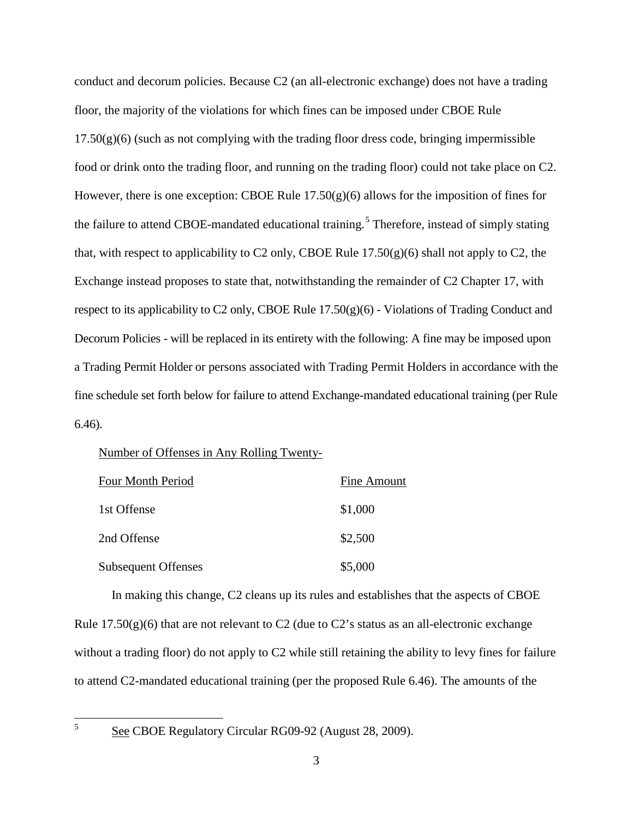conduct and decorum policies. Because C2 (an all-electronic exchange) does not have a trading floor, the majority of the violations for which fines can be imposed under CBOE Rule  $17.50(g)(6)$  (such as not complying with the trading floor dress code, bringing impermissible food or drink onto the trading floor, and running on the trading floor) could not take place on C2. However, there is one exception: CBOE Rule  $17.50(g)(6)$  allows for the imposition of fines for the failure to attend CBOE-mandated educational training.<sup>[5](#page-2-0)</sup> Therefore, instead of simply stating that, with respect to applicability to C2 only, CBOE Rule  $17.50(g)(6)$  shall not apply to C2, the Exchange instead proposes to state that, notwithstanding the remainder of C2 Chapter 17, with respect to its applicability to C2 only, CBOE Rule 17.50(g)(6) - Violations of Trading Conduct and Decorum Policies - will be replaced in its entirety with the following: A fine may be imposed upon a Trading Permit Holder or persons associated with Trading Permit Holders in accordance with the fine schedule set forth below for failure to attend Exchange-mandated educational training (per Rule 6.46).

#### Number of Offenses in Any Rolling Twenty-

| <b>Four Month Period</b>   | Fine Amount |
|----------------------------|-------------|
| 1st Offense                | \$1,000     |
| 2nd Offense                | \$2,500     |
| <b>Subsequent Offenses</b> | \$5,000     |

In making this change, C2 cleans up its rules and establishes that the aspects of CBOE Rule  $17.50(g)(6)$  that are not relevant to C2 (due to C2's status as an all-electronic exchange without a trading floor) do not apply to C2 while still retaining the ability to levy fines for failure to attend C2-mandated educational training (per the proposed Rule 6.46). The amounts of the

<span id="page-2-0"></span>

 $5 \qquad \underline{\text{See}}$  CBOE Regulatory Circular RG09-92 (August 28, 2009).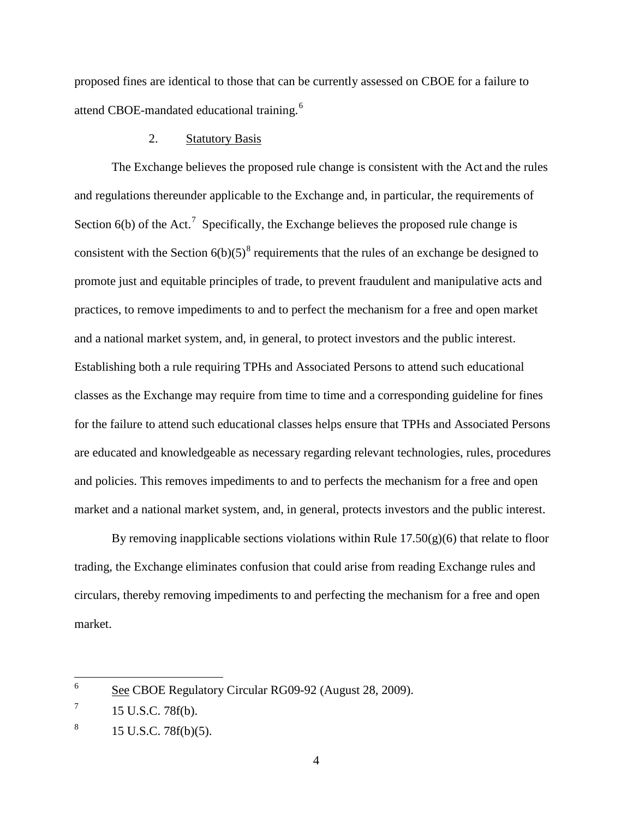proposed fines are identical to those that can be currently assessed on CBOE for a failure to attend CBOE-mandated educational training.<sup>[6](#page-3-0)</sup>

## 2. Statutory Basis

The Exchange believes the proposed rule change is consistent with the Act and the rules and regulations thereunder applicable to the Exchange and, in particular, the requirements of Section  $6(b)$  of the Act.<sup>[7](#page-3-1)</sup> Specifically, the Exchange believes the proposed rule change is consistent with the Section  $6(b)(5)^8$  $6(b)(5)^8$  requirements that the rules of an exchange be designed to promote just and equitable principles of trade, to prevent fraudulent and manipulative acts and practices, to remove impediments to and to perfect the mechanism for a free and open market and a national market system, and, in general, to protect investors and the public interest. Establishing both a rule requiring TPHs and Associated Persons to attend such educational classes as the Exchange may require from time to time and a corresponding guideline for fines for the failure to attend such educational classes helps ensure that TPHs and Associated Persons are educated and knowledgeable as necessary regarding relevant technologies, rules, procedures and policies. This removes impediments to and to perfects the mechanism for a free and open market and a national market system, and, in general, protects investors and the public interest.

By removing inapplicable sections violations within Rule  $17.50(g)(6)$  that relate to floor trading, the Exchange eliminates confusion that could arise from reading Exchange rules and circulars, thereby removing impediments to and perfecting the mechanism for a free and open market.

<span id="page-3-0"></span> <sup>6</sup> See CBOE Regulatory Circular RG09-92 (August 28, 2009).

<span id="page-3-1"></span> $^7$  15 U.S.C. 78f(b).

<span id="page-3-2"></span> $8 \t15$  U.S.C. 78f(b)(5).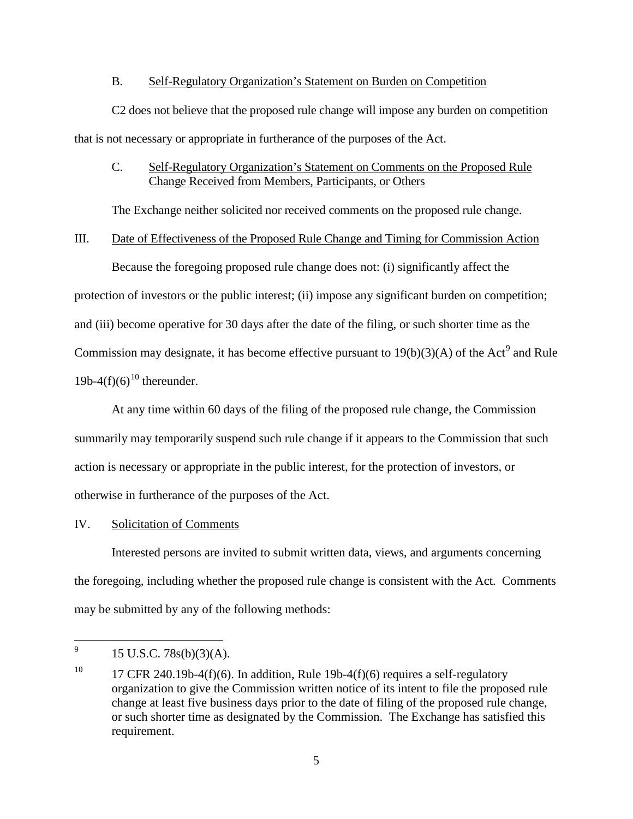### B. Self-Regulatory Organization's Statement on Burden on Competition

C2 does not believe that the proposed rule change will impose any burden on competition that is not necessary or appropriate in furtherance of the purposes of the Act.

## C. Self-Regulatory Organization's Statement on Comments on the Proposed Rule Change Received from Members, Participants, or Others

The Exchange neither solicited nor received comments on the proposed rule change.

#### III. Date of Effectiveness of the Proposed Rule Change and Timing for Commission Action

Because the foregoing proposed rule change does not: (i) significantly affect the protection of investors or the public interest; (ii) impose any significant burden on competition; and (iii) become operative for 30 days after the date of the filing, or such shorter time as the Commission may designate, it has become effective pursuant to  $19(b)(3)(A)$  $19(b)(3)(A)$  $19(b)(3)(A)$  of the Act<sup>9</sup> and Rule 19b-4(f)(6)<sup>[10](#page-4-1)</sup> thereunder.

At any time within 60 days of the filing of the proposed rule change, the Commission summarily may temporarily suspend such rule change if it appears to the Commission that such action is necessary or appropriate in the public interest, for the protection of investors, or otherwise in furtherance of the purposes of the Act.

### IV. Solicitation of Comments

Interested persons are invited to submit written data, views, and arguments concerning the foregoing, including whether the proposed rule change is consistent with the Act. Comments may be submitted by any of the following methods:

<span id="page-4-0"></span> $^{9}$  15 U.S.C. 78s(b)(3)(A).

<span id="page-4-1"></span><sup>&</sup>lt;sup>10</sup> 17 CFR 240.19b-4(f)(6). In addition, Rule 19b-4(f)(6) requires a self-regulatory organization to give the Commission written notice of its intent to file the proposed rule change at least five business days prior to the date of filing of the proposed rule change, or such shorter time as designated by the Commission. The Exchange has satisfied this requirement.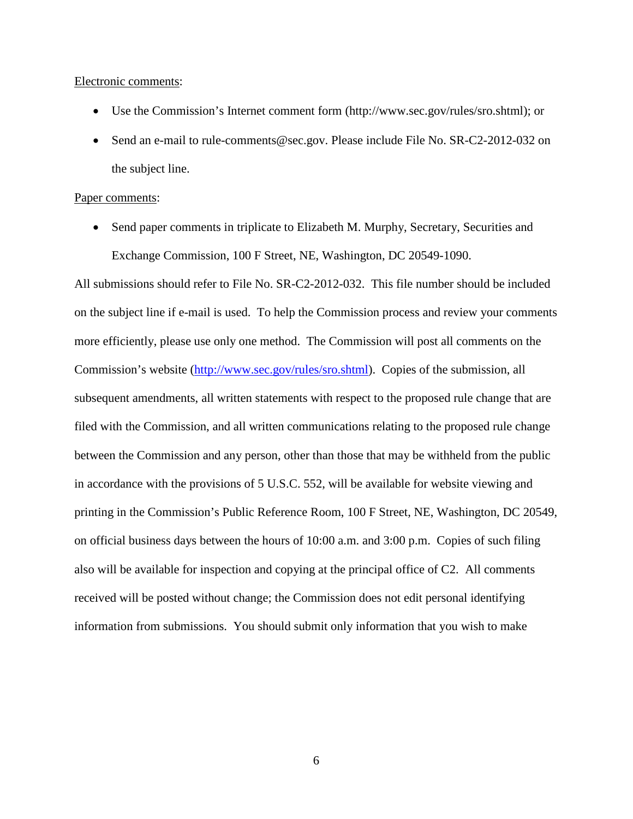#### Electronic comments:

- Use the Commission's Internet comment form (http://www.sec.gov/rules/sro.shtml); or
- Send an e-mail to rule-comments@sec.gov. Please include File No. SR-C2-2012-032 on the subject line.

#### Paper comments:

• Send paper comments in triplicate to Elizabeth M. Murphy, Secretary, Securities and Exchange Commission, 100 F Street, NE, Washington, DC 20549-1090.

All submissions should refer to File No. SR-C2-2012-032. This file number should be included on the subject line if e-mail is used. To help the Commission process and review your comments more efficiently, please use only one method. The Commission will post all comments on the Commission's website [\(http://www.sec.gov/rules/sro.shtml\)](http://www.sec.gov/rules/sro.shtml). Copies of the submission, all subsequent amendments, all written statements with respect to the proposed rule change that are filed with the Commission, and all written communications relating to the proposed rule change between the Commission and any person, other than those that may be withheld from the public in accordance with the provisions of 5 U.S.C. 552, will be available for website viewing and printing in the Commission's Public Reference Room, 100 F Street, NE, Washington, DC 20549, on official business days between the hours of 10:00 a.m. and 3:00 p.m. Copies of such filing also will be available for inspection and copying at the principal office of C2. All comments received will be posted without change; the Commission does not edit personal identifying information from submissions. You should submit only information that you wish to make